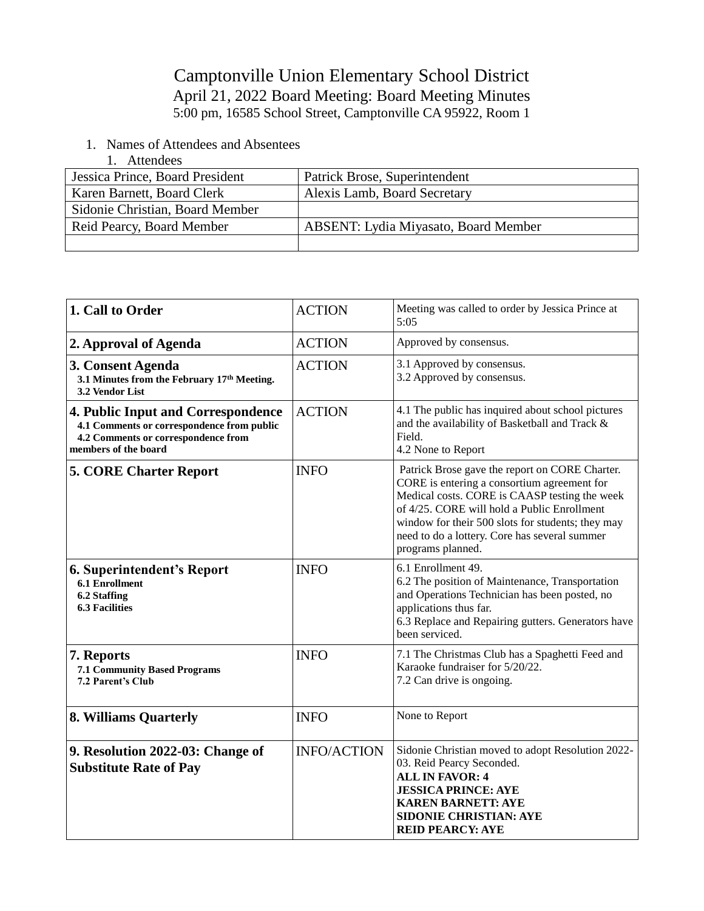## Camptonville Union Elementary School District April 21, 2022 Board Meeting: Board Meeting Minutes 5:00 pm, 16585 School Street, Camptonville CA 95922, Room 1

- 1. Names of Attendees and Absentees
	- 1. Attendees

| Jessica Prince, Board President | Patrick Brose, Superintendent               |
|---------------------------------|---------------------------------------------|
| Karen Barnett, Board Clerk      | Alexis Lamb, Board Secretary                |
| Sidonie Christian, Board Member |                                             |
| Reid Pearcy, Board Member       | <b>ABSENT:</b> Lydia Miyasato, Board Member |
|                                 |                                             |

| 1. Call to Order                                                                                                                                | <b>ACTION</b>      | Meeting was called to order by Jessica Prince at<br>5:05                                                                                                                                                                                                                                                                 |
|-------------------------------------------------------------------------------------------------------------------------------------------------|--------------------|--------------------------------------------------------------------------------------------------------------------------------------------------------------------------------------------------------------------------------------------------------------------------------------------------------------------------|
| 2. Approval of Agenda                                                                                                                           | <b>ACTION</b>      | Approved by consensus.                                                                                                                                                                                                                                                                                                   |
| 3. Consent Agenda<br>3.1 Minutes from the February 17th Meeting.<br>3.2 Vendor List                                                             | <b>ACTION</b>      | 3.1 Approved by consensus.<br>3.2 Approved by consensus.                                                                                                                                                                                                                                                                 |
| 4. Public Input and Correspondence<br>4.1 Comments or correspondence from public<br>4.2 Comments or correspondence from<br>members of the board | <b>ACTION</b>      | 4.1 The public has inquired about school pictures<br>and the availability of Basketball and Track &<br>Field.<br>4.2 None to Report                                                                                                                                                                                      |
| <b>5. CORE Charter Report</b>                                                                                                                   | <b>INFO</b>        | Patrick Brose gave the report on CORE Charter.<br>CORE is entering a consortium agreement for<br>Medical costs. CORE is CAASP testing the week<br>of 4/25. CORE will hold a Public Enrollment<br>window for their 500 slots for students; they may<br>need to do a lottery. Core has several summer<br>programs planned. |
| 6. Superintendent's Report<br><b>6.1 Enrollment</b><br>6.2 Staffing<br><b>6.3 Facilities</b>                                                    | <b>INFO</b>        | 6.1 Enrollment 49.<br>6.2 The position of Maintenance, Transportation<br>and Operations Technician has been posted, no<br>applications thus far.<br>6.3 Replace and Repairing gutters. Generators have<br>been serviced.                                                                                                 |
| 7. Reports<br>7.1 Community Based Programs<br>7.2 Parent's Club                                                                                 | <b>INFO</b>        | 7.1 The Christmas Club has a Spaghetti Feed and<br>Karaoke fundraiser for 5/20/22.<br>7.2 Can drive is ongoing.                                                                                                                                                                                                          |
| 8. Williams Quarterly                                                                                                                           | <b>INFO</b>        | None to Report                                                                                                                                                                                                                                                                                                           |
| 9. Resolution 2022-03: Change of<br><b>Substitute Rate of Pay</b>                                                                               | <b>INFO/ACTION</b> | Sidonie Christian moved to adopt Resolution 2022-<br>03. Reid Pearcy Seconded.<br><b>ALL IN FAVOR: 4</b><br><b>JESSICA PRINCE: AYE</b><br><b>KAREN BARNETT: AYE</b><br><b>SIDONIE CHRISTIAN: AYE</b><br><b>REID PEARCY: AYE</b>                                                                                          |